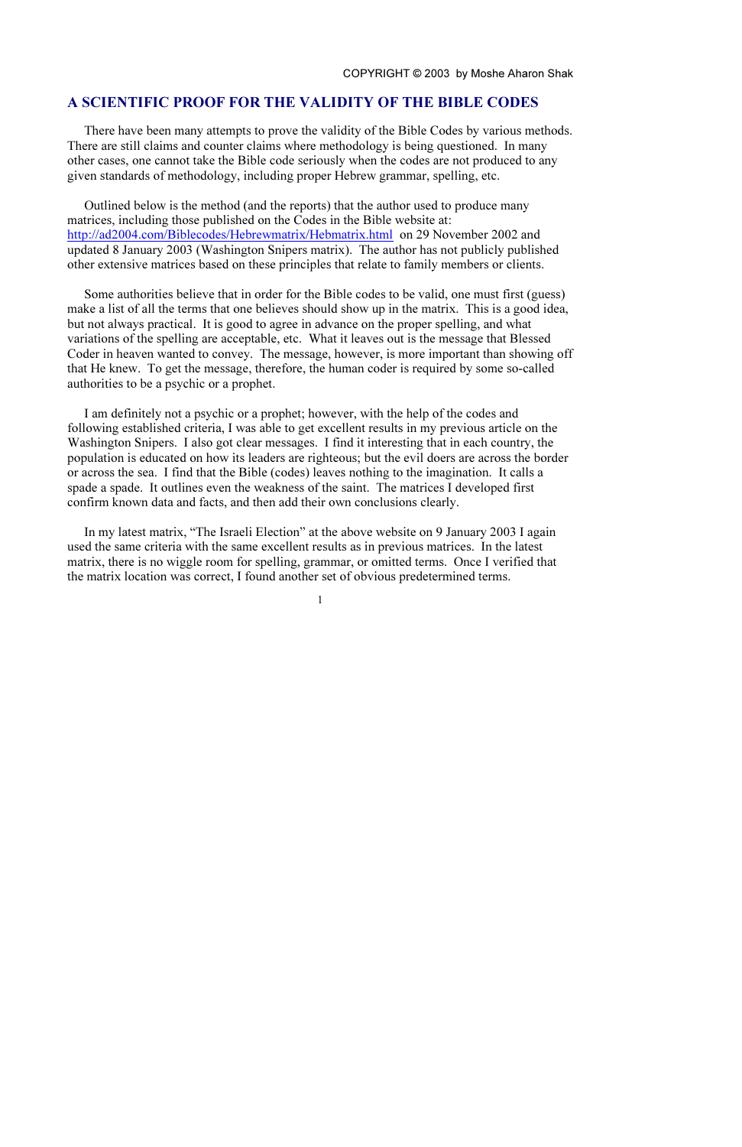# A SCIENTIFIC PROOF FOR THE VALIDITY OF THE BIBLE CODES

There have been many attempts to prove the validity of the Bible Codes by various methods. There are still claims and counter claims where methodology is being questioned. In many other cases, one cannot take the Bible code seriously when the codes are not produced to any given standards of methodology, including proper Hebrew grammar, spelling, etc.

Outlined below is the method (and the reports) that the author used to produce many matrices, including those published on the Codes in the Bible website at: <http://ad2004.com/Biblecodes/Hebrewmatrix/Hebmatrix.html>on 29 November 2002 and updated 8 January 2003 (Washington Snipers matrix). The author has not publicly published other extensive matrices based on these principles that relate to family members or clients.

Some authorities believe that in order for the Bible codes to be valid, one must first (guess) make a list of all the terms that one believes should show up in the matrix. This is a good idea, but not always practical. It is good to agree in advance on the proper spelling, and what variations of the spelling are acceptable, etc. What it leaves out is the message that Blessed Coder in heaven wanted to convey. The message, however, is more important than showing off that He knew. To get the message, therefore, the human coder is required by some so-called authorities to be a psychic or a prophet.

I am definitely not a psychic or a prophet; however, with the help of the codes and following established criteria, I was able to get excellent results in my previous article on the Washington Snipers. I also got clear messages. I find it interesting that in each country, the population is educated on how its leaders are righteous; but the evil doers are across the border or across the sea. I find that the Bible (codes) leaves nothing to the imagination. It calls a spade a spade. It outlines even the weakness of the saint. The matrices I developed first confirm known data and facts, and then add their own conclusions clearly.

In my latest matrix, "The Israeli Election" at the above website on 9 January 2003 I again used the same criteria with the same excellent results as in previous matrices. In the latest matrix, there is no wiggle room for spelling, grammar, or omitted terms. Once I verified that the matrix location was correct, I found another set of obvious predetermined terms.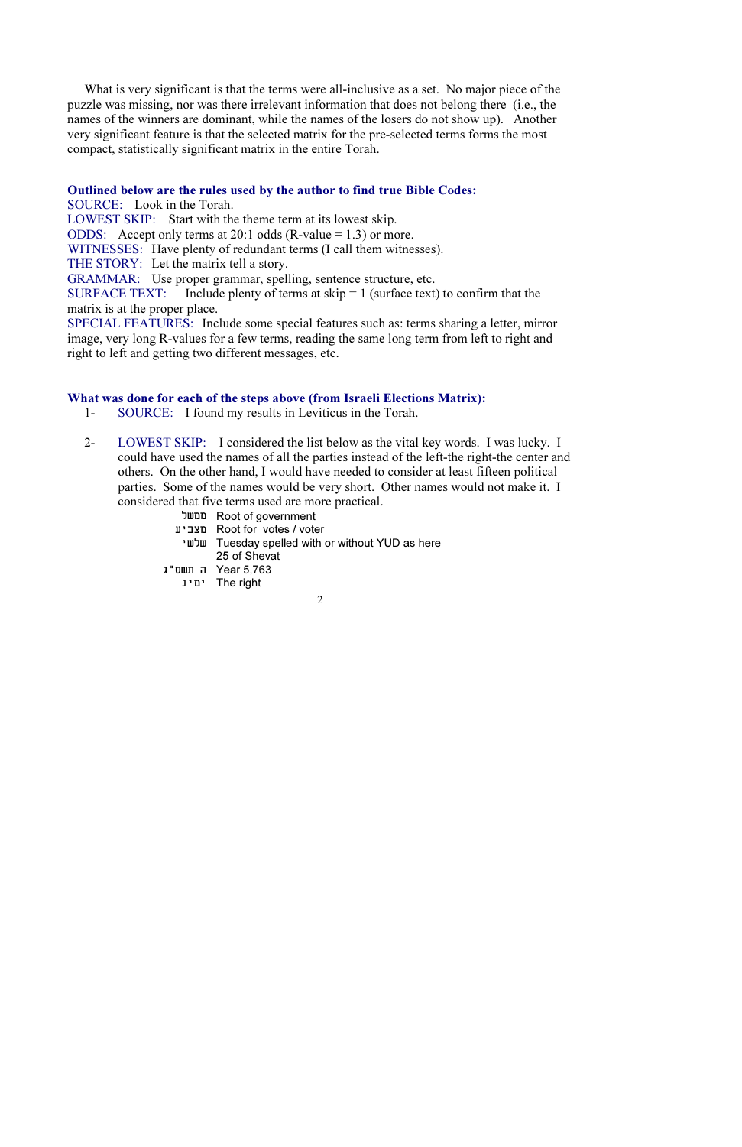What is very significant is that the terms were all-inclusive as a set. No major piece of the puzzle was missing, nor was there irrelevant information that does not belong there (i.e., the names of the winners are dominant, while the names of the losers do not show up). Another very significant feature is that the selected matrix for the pre-selected terms forms the most compact, statistically significant matrix in the entire Torah.

## Outlined below are the rules used by the author to find true Bible Codes:

SOURCE: Look in the Torah.

LOWEST SKIP: Start with the theme term at its lowest skip.

ODDS: Accept only terms at 20:1 odds  $(R-value = 1.3)$  or more.

WITNESSES: Have plenty of redundant terms (I call them witnesses).

THE STORY: Let the matrix tell a story.

GRAMMAR: Use proper grammar, spelling, sentence structure, etc.

SURFACE TEXT: Include plenty of terms at  $skip = 1$  (surface text) to confirm that the matrix is at the proper place.

SPECIAL FEATURES: Include some special features such as: terms sharing a letter, mirror image, very long R-values for a few terms, reading the same long term from left to right and right to left and getting two different messages, etc.

# What was done for each of the steps above (from Israeli Elections Matrix):

- 1- SOURCE: I found my results in Leviticus in the Torah.
- 2- LOWEST SKIP: I considered the list below as the vital key words. I was lucky. I could have used the names of all the parties instead of the left-the right-the center and others. On the other hand, I would have needed to consider at least fifteen political parties. Some of the names would be very short. Other names would not make it. I considered that five terms used are more practical.
	- ìùîî Root of government
	- òéáöî Root for votes / voter
	- éùìù Tuesday spelled with or without YUD as here 25 of Shevat
	- 1 Year 5.763
		- ימינ<sup>The right</sup>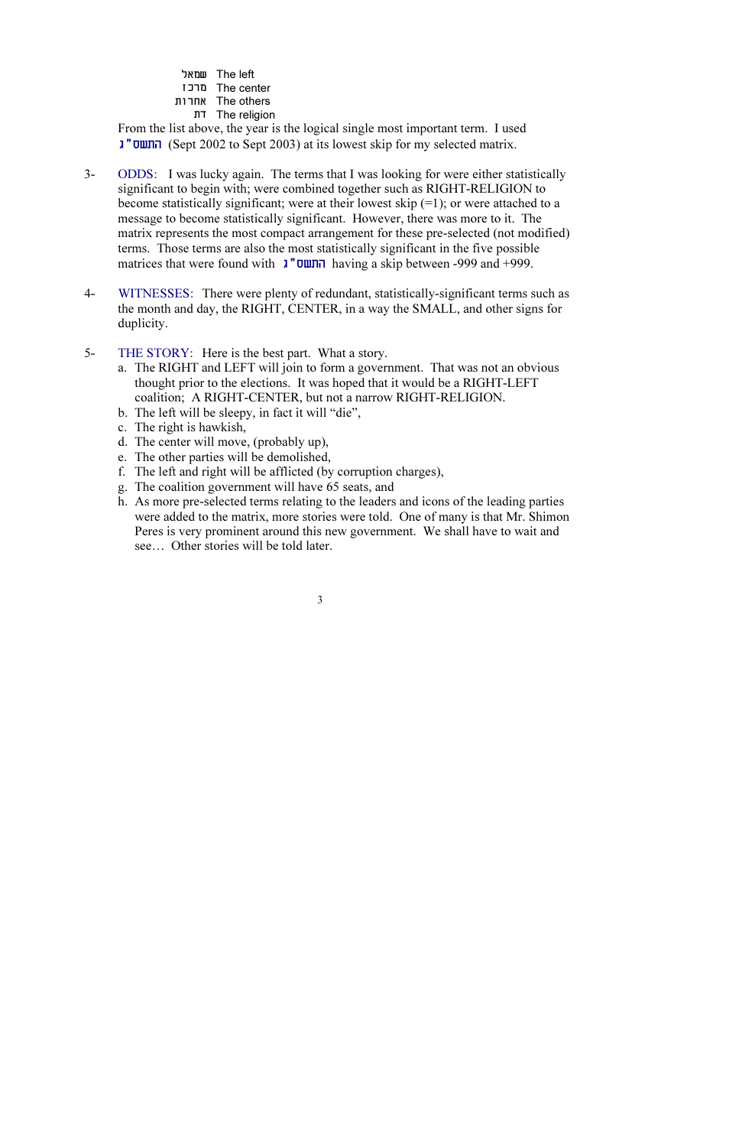ìàîù The left æëøî The center **Knd** Mars Mars úã The religion

From the list above, the year is the logical single most important term. I used â"ñùúä (Sept 2002 to Sept 2003) at its lowest skip for my selected matrix.

- 3- ODDS: I was lucky again. The terms that I was looking for were either statistically significant to begin with; were combined together such as RIGHT-RELIGION to become statistically significant; were at their lowest skip  $(=1)$ ; or were attached to a message to become statistically significant. However, there was more to it. The matrix represents the most compact arrangement for these pre-selected (not modified) terms. Those terms are also the most statistically significant in the five possible matrices that were found with  $\lambda$ "**UUI** having a skip between -999 and +999.
- 4- WITNESSES: There were plenty of redundant, statistically-significant terms such as the month and day, the RIGHT, CENTER, in a way the SMALL, and other signs for duplicity.
- 5- THE STORY: Here is the best part. What a story.
	- a. The RIGHT and LEFT will join to form a government. That was not an obvious thought prior to the elections. It was hoped that it would be a RIGHT-LEFT coalition; A RIGHT-CENTER, but not a narrow RIGHT-RELIGION.
	- b. The left will be sleepy, in fact it will "die",
	- c. The right is hawkish,
	- d. The center will move, (probably up),
	- e. The other parties will be demolished,
	- f. The left and right will be afflicted (by corruption charges),
	- g. The coalition government will have 65 seats, and
	- h. As more pre-selected terms relating to the leaders and icons of the leading parties were added to the matrix, more stories were told. One of many is that Mr. Shimon Peres is very prominent around this new government. We shall have to wait and see… Other stories will be told later.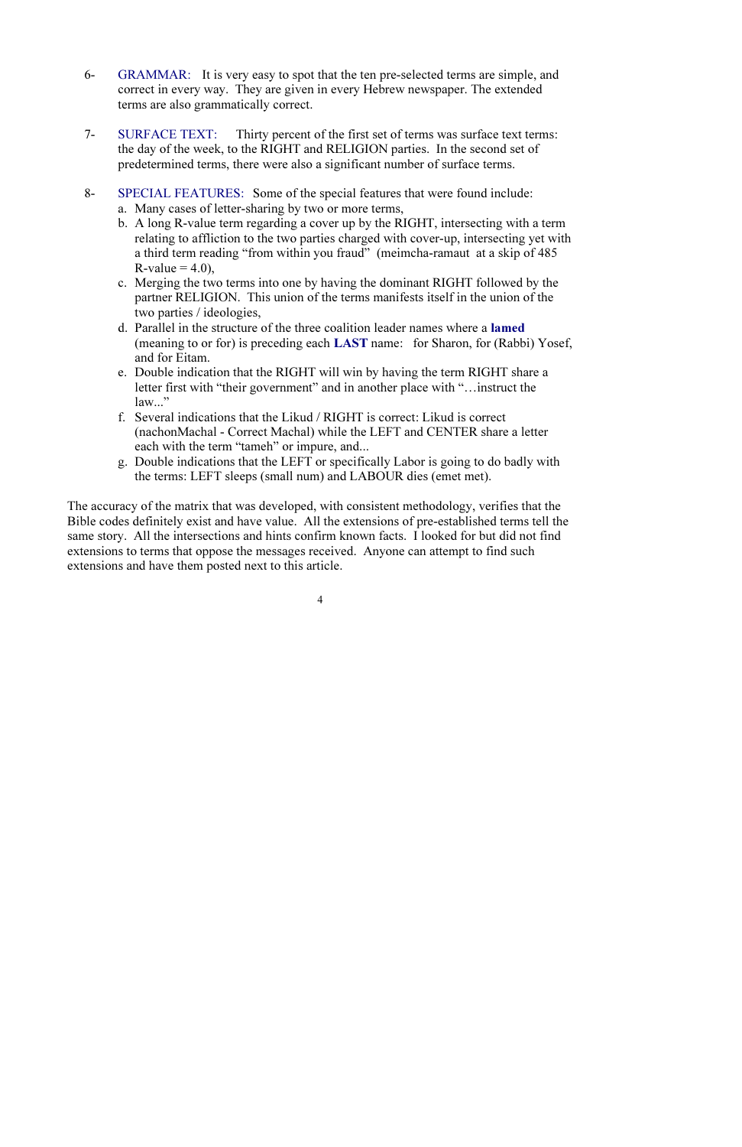- 6- GRAMMAR: It is very easy to spot that the ten pre-selected terms are simple, and correct in every way. They are given in every Hebrew newspaper. The extended terms are also grammatically correct.
- 7- SURFACE TEXT: Thirty percent of the first set of terms was surface text terms: the day of the week, to the RIGHT and RELIGION parties. In the second set of predetermined terms, there were also a significant number of surface terms.
- 8- SPECIAL FEATURES: Some of the special features that were found include:
	- a. Many cases of letter-sharing by two or more terms,
	- b. A long R-value term regarding a cover up by the RIGHT, intersecting with a term relating to affliction to the two parties charged with cover-up, intersecting yet with a third term reading "from within you fraud" (meimcha-ramaut at a skip of 485 R-value  $= 4.0$ ).
	- c. Merging the two terms into one by having the dominant RIGHT followed by the partner RELIGION. This union of the terms manifests itself in the union of the two parties / ideologies,
	- d. Parallel in the structure of the three coalition leader names where a lamed (meaning to or for) is preceding each LAST name: for Sharon, for (Rabbi) Yosef, and for Eitam.
	- e. Double indication that the RIGHT will win by having the term RIGHT share a letter first with "their government" and in another place with "…instruct the law..."
	- f. Several indications that the Likud / RIGHT is correct: Likud is correct (nachonMachal - Correct Machal) while the LEFT and CENTER share a letter each with the term "tameh" or impure, and...
	- g. Double indications that the LEFT or specifically Labor is going to do badly with the terms: LEFT sleeps (small num) and LABOUR dies (emet met).

The accuracy of the matrix that was developed, with consistent methodology, verifies that the Bible codes definitely exist and have value. All the extensions of pre-established terms tell the same story. All the intersections and hints confirm known facts. I looked for but did not find extensions to terms that oppose the messages received. Anyone can attempt to find such extensions and have them posted next to this article.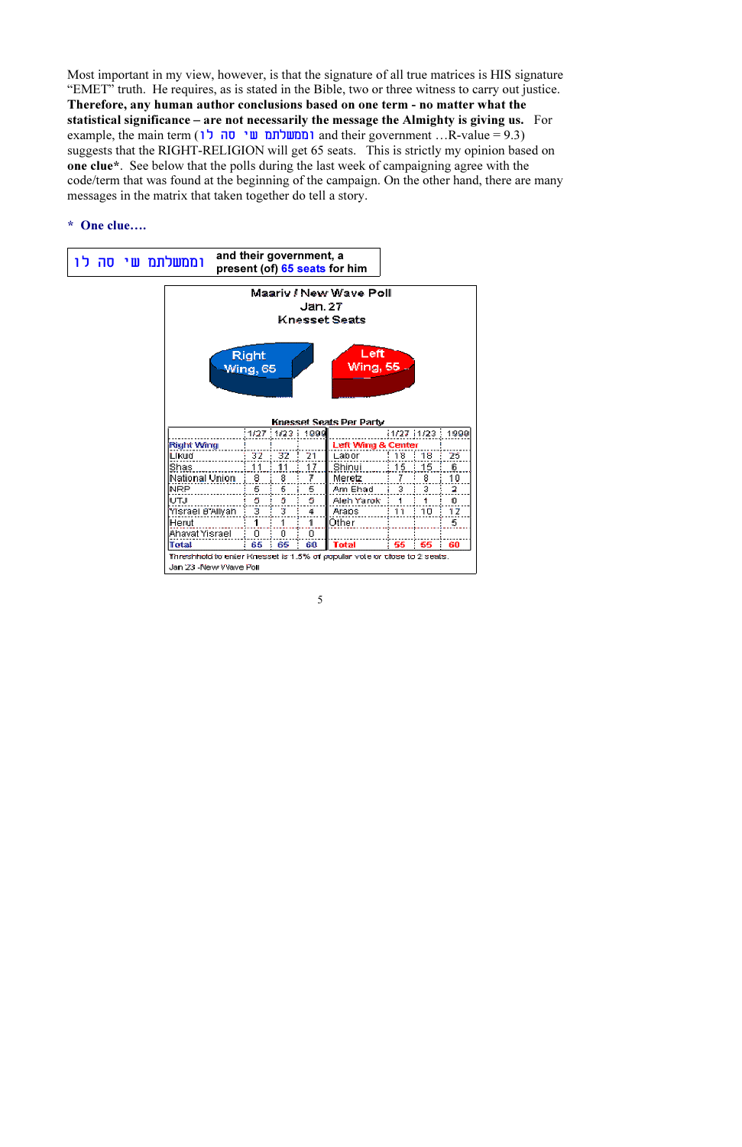Most important in my view, however, is that the signature of all true matrices is HIS signature "EMET" truth. He requires, as is stated in the Bible, two or three witness to carry out justice. Therefore, any human author conclusions based on one term - no matter what the statistical significance – are not necessarily the message the Almighty is giving us. For example, the main term (**המשלתם שי סה לו**) and their government …R-value = 9.3) suggests that the RIGHT-RELIGION will get 65 seats. This is strictly my opinion based on one clue\*. See below that the polls during the last week of campaigning agree with the code/term that was found at the beginning of the campaign. On the other hand, there are many messages in the matrix that taken together do tell a story.

## \* One clue….